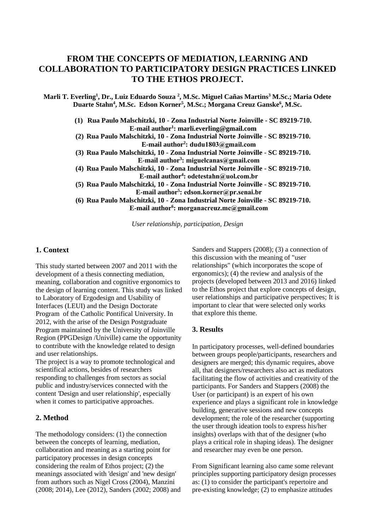# **FROM THE CONCEPTS OF MEDIATION, LEARNING AND COLLABORATION TO PARTICIPATORY DESIGN PRACTICES LINKED TO THE ETHOS PROJECT.**

**Marli T. Everling<sup>1</sup> , Dr., Luiz Eduardo Souza <sup>2</sup> , M.Sc. Miguel Cañas Martins<sup>3</sup> M.Sc.; Maria Odete Duarte Stahn<sup>4</sup> , M.Sc. Edson Korner<sup>5</sup> , M.Sc.; Morgana Creuz Ganske<sup>6</sup> , M.Sc.** 

**(1) Rua Paulo Malschitzki, 10 - Zona Industrial Norte Joinville - SC 89219-710. E-mail author<sup>1</sup> : marli.everling@gmail.com (2) Rua Paulo Malschitzki, 10 - Zona Industrial Norte Joinville - SC 89219-710. E-mail author<sup>2</sup> : dudu1803@gmail.com (3) Rua Paulo Malschitzki, 10 - Zona Industrial Norte Joinville - SC 89219-710. E-mail author<sup>3</sup> : miguelcanas@gmail.com (4) Rua Paulo Malschitzki, 10 - Zona Industrial Norte Joinville - SC 89219-710. E-mail author<sup>4</sup> : odetestahn@uol.com.br (5) Rua Paulo Malschitzki, 10 - Zona Industrial Norte Joinville - SC 89219-710. E-mail author<sup>5</sup> : edson.korner@pr.senai.br (6) Rua Paulo Malschitzki, 10 - Zona Industrial Norte Joinville - SC 89219-710. E-mail author<sup>6</sup> : morganacreuz.mc@gmail.com**

*User relationship, participation, Design*

### **1. Context**

This study started between 2007 and 2011 with the development of a thesis connecting mediation, meaning, collaboration and cognitive ergonomics to the design of learning content. This study was linked to Laboratory of Ergodesign and Usability of Interfaces (LEUI) and the Design Doctorate Program of the Catholic Pontifical University. In 2012, with the arise of the Design Postgraduate Program maintained by the University of Joinville Region (PPGDesign /Univille) came the opportunity to contribute with the knowledge related to design and user relationships.

The project is a way to promote technological and scientifical actions, besides of researchers responding to challenges from sectors as social public and industry/services connected with the content 'Design and user relationship', especially when it comes to participative approaches.

# **2. Method**

The methodology considers: (1) the connection between the concepts of learning, mediation, collaboration and meaning as a starting point for participatory processes in design concepts considering the realm of Ethos project; (2) the meanings associated with 'design' and 'new design' from authors such as Nigel Cross (2004), Manzini (2008; 2014), Lee (2012), Sanders (2002; 2008) and

Sanders and Stappers (2008); (3) a connection of this discussion with the meaning of "user relationships" (which incorporates the scope of ergonomics); (4) the review and analysis of the projects (developed between 2013 and 2016) linked to the Ethos project that explore concepts of design, user relationships and participative perspectives; It is important to clear that were selected only works that explore this theme.

# **3. Results**

In participatory processes, well-defined boundaries between groups people/participants, researchers and designers are merged; this dynamic requires, above all, that designers/researchers also act as mediators facilitating the flow of activities and creativity of the participants. For Sanders and Stappers (2008) the User (or participant) is an expert of his own experience and plays a significant role in knowledge building, generative sessions and new concepts development; the role of the researcher (supporting the user through ideation tools to express his/her insights) overlaps with that of the designer (who plays a critical role in shaping ideas). The designer and researcher may even be one person.

From Significant learning also came some relevant principles supporting participatory design processes as: (1) to consider the participant's repertoire and pre-existing knowledge; (2) to emphasize attitudes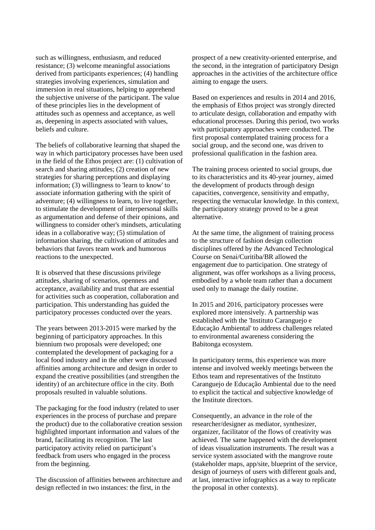such as willingness, enthusiasm, and reduced resistance; (3) welcome meaningful associations derived from participants experiences; (4) handling strategies involving experiences, simulation and immersion in real situations, helping to apprehend the subjective universe of the participant. The value of these principles lies in the development of attitudes such as openness and acceptance, as well as, deepening in aspects associated with values, beliefs and culture.

The beliefs of collaborative learning that shaped the way in which participatory processes have been used in the field of the Ethos project are: (1) cultivation of search and sharing attitudes; (2) creation of new strategies for sharing perceptions and displaying information; (3) willingness to 'learn to know' to associate information gathering with the spirit of adventure; (4) willingness to learn, to live together, to stimulate the development of interpersonal skills as argumentation and defense of their opinions, and willingness to consider other's mindsets, articulating ideas in a collaborative way; (5) stimulation of information sharing, the cultivation of attitudes and behaviors that favors team work and humorous reactions to the unexpected.

It is observed that these discussions privilege attitudes, sharing of scenarios, openness and acceptance, availability and trust that are essential for activities such as cooperation, collaboration and participation. This understanding has guided the participatory processes conducted over the years.

The years between 2013-2015 were marked by the beginning of participatory approaches. In this biennium two proposals were developed; one contemplated the development of packaging for a local food industry and in the other were discussed affinities among architecture and design in order to expand the creative possibilities (and strengthen the identity) of an architecture office in the city. Both proposals resulted in valuable solutions.

The packaging for the food industry (related to user experiences in the process of purchase and prepare the product) due to the collaborative creation session highlighted important information and values of the brand, facilitating its recognition. The last participatory activity relied on participant's feedback from users who engaged in the process from the beginning.

The discussion of affinities between architecture and design reflected in two instances: the first, in the

prospect of a new creativity-oriented enterprise, and the second, in the integration of participatory Design approaches in the activities of the architecture office aiming to engage the users.

Based on experiences and results in 2014 and 2016, the emphasis of Ethos project was strongly directed to articulate design, collaboration and empathy with educational processes. During this period, two works with participatory approaches were conducted. The first proposal contemplated training process for a social group, and the second one, was driven to professional qualification in the fashion area.

The training process oriented to social groups, due to its characteristics and its 40-year journey, aimed the development of products through design capacities, convergence, sensitivity and empathy, respecting the vernacular knowledge. In this context, the participatory strategy proved to be a great alternative.

At the same time, the alignment of training process to the structure of fashion design collection disciplines offered by the Advanced Technological Course on Senai/Curitiba/BR allowed the engagement due to participation. One strategy of alignment, was offer workshops as a living process, embodied by a whole team rather than a document used only to manage the daily routine.

In 2015 and 2016, participatory processes were explored more intensively. A partnership was established with the 'Instituto Caranguejo e Educação Ambiental' to address challenges related to environmental awareness considering the Babitonga ecosystem.

In participatory terms, this experience was more intense and involved weekly meetings between the Ethos team and representatives of the Instituto Caranguejo de Educação Ambiental due to the need to explicit the tactical and subjective knowledge of the Institute directors.

Consequently, an advance in the role of the researcher/designer as mediator, synthesizer, organizer, facilitator of the flows of creativity was achieved. The same happened with the development of ideas visualization instruments. The result was a service system associated with the mangrove route (stakeholder maps, app/site, blueprint of the service, design of journeys of users with different goals and, at last, interactive infographics as a way to replicate the proposal in other contexts).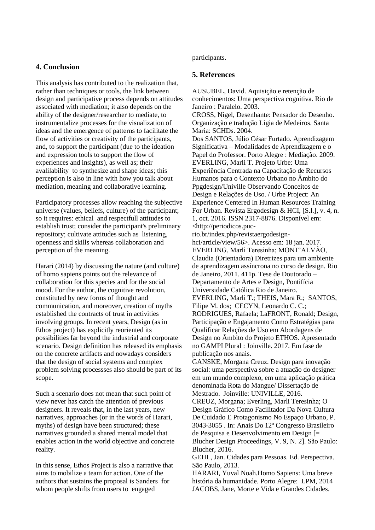# **4. Conclusion**

This analysis has contributed to the realization that, rather than techniques or tools, the link between design and participative process depends on attitudes associated with mediation; it also depends on the ability of the designer/researcher to mediate, to instrumentalize processes for the visualization of ideas and the emergence of patterns to facilitate the flow of activities or creativity of the participants, and, to support the participant (due to the ideation and expression tools to support the flow of experiences and insights), as well as; their avalilability to synthesize and shape ideas; this perception is also in line with how you talk about mediation, meaning and collaborative learning.

Participatory processes allow reaching the subjective universe (values, beliefs, culture) of the participant; so it requires: ethical and respectfull attitudes to establish trust; consider the participant's preliminary repository; cultivate attitudes such as listening, openness and skills whereas collaboration and perception of the meaning.

Harari (2014) by discussing the nature (and culture) of homo sapiens points out the relevance of collaboration for this species and for the social mood. For the author, the cognitive revolution, constituted by new forms of thought and communication, and moreover, creation of myths established the contracts of trust in activities involving groups. In recent years, Design (as in Ethos project) has explicitly reoriented its possibilities far beyond the industrial and corporate scenario. Design definition has released its emphasis on the concrete artifacts and nowadays considers that the design of social systems and complex problem solving processses also should be part of its scope.

Such a scenario does not mean that such point of view never has catch the attention of previous designers. It reveals that, in the last years, new narratives, approaches (or in the words of Harari, myths) of design have been structured; these narratives grounded a shared mental model that enables action in the world objective and concrete reality.

In this sense, Ethos Project is also a narrative that aims to mobilize a team for action. One of the authors that sustains the proposal is Sanders for whom people shifts from users to engaged

#### participants.

#### **5. References**

AUSUBEL, David. Aquisição e retenção de conhecimentos: Uma perspectiva cognitiva. Rio de Janeiro : Paralelo. 2003. CROSS, Nigel, Desenhante: Pensador do Desenho. Organização e tradução Lígia de Medeiros. Santa Maria: SCHDs. 2004. Dos SANTOS, Júlio César Furtado. Aprendizagem Significativa – Modalidades de Aprendizagem e o Papel do Professor. Porto Alegre : Mediação. 2009. EVERLING, Marli T. Projeto Urbe: Uma Experiência Centrada na Capacitação de Recursos Humanos para o Contexto Urbano no Âmbito do Ppgdesign/Univille Observando Conceitos de Design e Relações de Uso. / Urbe Project: An Experience Centered In Human Resources Training For Urban. Revista Ergodesign & HCI, [S.l.], v. 4, n. 1, oct. 2016. ISSN 2317-8876. Disponível em: <http://periodicos.pucrio.br/index.php/revistaergodesignhci/article/view/56>. Acesso em: 18 jan. 2017. EVERLING, Marli Teresinha; MONT'ALVÃO, Claudia (Orientadora) Diretrizes para um ambiente de aprendizagem assíncrona no curso de design. Rio de Janeiro, 2011. 411p. Tese de Doutorado – Departamento de Artes e Design, Pontifícia Universidade Católica Rio de Janeiro. EVERLING, Marli T.; THEIS, Mara R.; SANTOS, Filipe M. dos; CECYN, Leonardo C. C.; RODRIGUES, Rafaela; LaFRONT, Ronald; Design, Participação e Engajamento Como Estratégias para Qualificar Relações de Uso em Abordagens de Design no Âmbito do Projeto ETHOS. Apresentado no GAMPI Plural : Joinville. 2017. Em fase de publicação nos anais. GANSKE, Morgana Creuz. Design para inovação social: uma perspectiva sobre a atuação do designer em um mundo complexo, em uma aplicação prática denominada Rota do Mangue/ Dissertação de Mestrado. Joinville: UNIVILLE, 2016. CREUZ, Morgana; Everling, Marli Teresinha; O Design Gráfico Como Facilitador Da Nova Cultura De Cuidado E Protagonismo No Espaço Urbano, P. 3043-3055 . In: Anais Do 12º Congresso Brasileiro de Pesquisa e Desenvolvimento em Design [= Blucher Design Proceedings, V. 9, N. 2]. São Paulo: Blucher, 2016. GEHL, Jan. Cidades para Pessoas. Ed. Perspectiva. São Paulo, 2013. HARARI, Yuval Noah.Homo Sapiens: Uma breve

história da humanidade. Porto Alegre: LPM, 2014 JACOBS, Jane, Morte e Vida e Grandes Cidades.